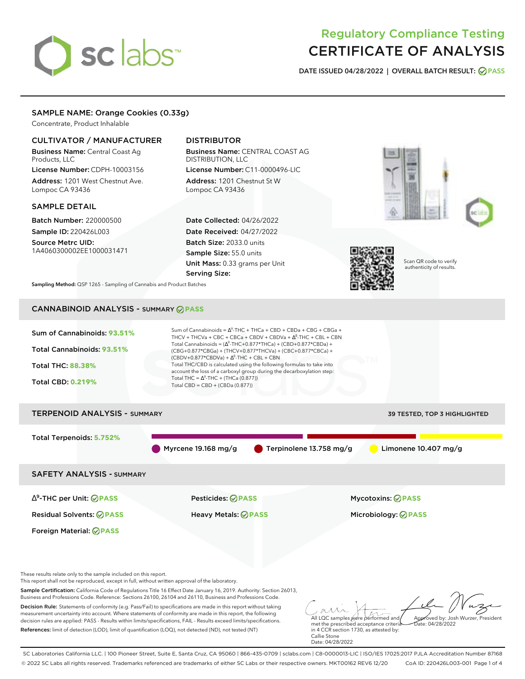# sclabs<sup>\*</sup>

# Regulatory Compliance Testing CERTIFICATE OF ANALYSIS

**DATE ISSUED 04/28/2022 | OVERALL BATCH RESULT: PASS**

# SAMPLE NAME: Orange Cookies (0.33g)

Concentrate, Product Inhalable

## CULTIVATOR / MANUFACTURER

Business Name: Central Coast Ag Products, LLC

License Number: CDPH-10003156 Address: 1201 West Chestnut Ave. Lompoc CA 93436

## SAMPLE DETAIL

Batch Number: 220000500 Sample ID: 220426L003

Source Metrc UID: 1A4060300002EE1000031471

# DISTRIBUTOR

Business Name: CENTRAL COAST AG DISTRIBUTION, LLC License Number: C11-0000496-LIC

Address: 1201 Chestnut St W Lompoc CA 93436

Date Collected: 04/26/2022 Date Received: 04/27/2022 Batch Size: 2033.0 units Sample Size: 55.0 units Unit Mass: 0.33 grams per Unit Serving Size:







Scan QR code to verify authenticity of results.

**Sampling Method:** QSP 1265 - Sampling of Cannabis and Product Batches

# CANNABINOID ANALYSIS - SUMMARY **PASS**



# TERPENOID ANALYSIS - SUMMARY 39 TESTED, TOP 3 HIGHLIGHTED Total Terpenoids: **5.752%** Myrcene 19.168 mg/g Terpinolene 13.758 mg/g Limonene 10.407 mg/g SAFETY ANALYSIS - SUMMARY ∆ 9 -THC per Unit: **PASS** Pesticides: **PASS** Mycotoxins: **PASS**

Residual Solvents: **PASS** Heavy Metals: **PASS** Microbiology: **PASS**

These results relate only to the sample included on this report.

Foreign Material: **PASS**

This report shall not be reproduced, except in full, without written approval of the laboratory.

Sample Certification: California Code of Regulations Title 16 Effect Date January 16, 2019. Authority: Section 26013, Business and Professions Code. Reference: Sections 26100, 26104 and 26110, Business and Professions Code.

Decision Rule: Statements of conformity (e.g. Pass/Fail) to specifications are made in this report without taking measurement uncertainty into account. Where statements of conformity are made in this report, the following decision rules are applied: PASS - Results within limits/specifications, FAIL - Results exceed limits/specifications. References: limit of detection (LOD), limit of quantification (LOQ), not detected (ND), not tested (NT)

All LQC samples were performed and met the prescribed acceptance criteria Approved by: Josh Wurzer, President  $ate: 04/28/2022$ 

in 4 CCR section 1730, as attested by: Callie Stone Date: 04/28/2022

SC Laboratories California LLC. | 100 Pioneer Street, Suite E, Santa Cruz, CA 95060 | 866-435-0709 | sclabs.com | C8-0000013-LIC | ISO/IES 17025:2017 PJLA Accreditation Number 87168 © 2022 SC Labs all rights reserved. Trademarks referenced are trademarks of either SC Labs or their respective owners. MKT00162 REV6 12/20 CoA ID: 220426L003-001 Page 1 of 4